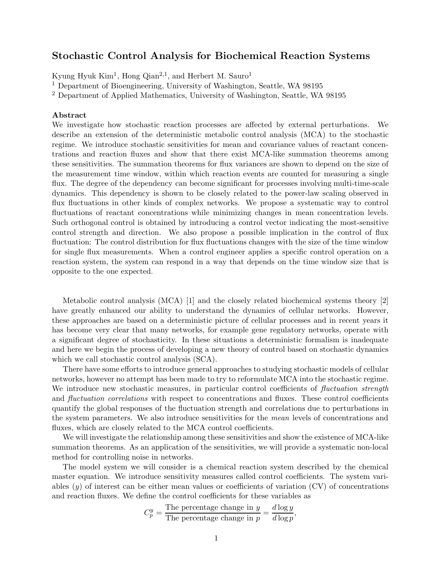## Stochastic Control Analysis for Biochemical Reaction Systems

Kyung Hyuk Kim<sup>1</sup>, Hong Qian<sup>2,1</sup>, and Herbert M. Sauro<sup>1</sup>

<sup>1</sup> Department of Bioengineering, University of Washington, Seattle, WA 98195

<sup>2</sup> Department of Applied Mathematics, University of Washington, Seattle, WA 98195

## Abstract

We investigate how stochastic reaction processes are affected by external perturbations. We describe an extension of the deterministic metabolic control analysis (MCA) to the stochastic regime. We introduce stochastic sensitivities for mean and covariance values of reactant concentrations and reaction fluxes and show that there exist MCA-like summation theorems among these sensitivities. The summation theorems for flux variances are shown to depend on the size of the measurement time window, within which reaction events are counted for measuring a single flux. The degree of the dependency can become significant for processes involving multi-time-scale dynamics. This dependency is shown to be closely related to the power-law scaling observed in flux fluctuations in other kinds of complex networks. We propose a systematic way to control fluctuations of reactant concentrations while minimizing changes in mean concentration levels. Such orthogonal control is obtained by introducing a control vector indicating the most-sensitive control strength and direction. We also propose a possible implication in the control of flux fluctuation: The control distribution for flux fluctuations changes with the size of the time window for single flux measurements. When a control engineer applies a specific control operation on a reaction system, the system can respond in a way that depends on the time window size that is opposite to the one expected.

Metabolic control analysis (MCA) [1] and the closely related biochemical systems theory [2] have greatly enhanced our ability to understand the dynamics of cellular networks. However, these approaches are based on a deterministic picture of cellular processes and in recent years it has become very clear that many networks, for example gene regulatory networks, operate with a significant degree of stochasticity. In these situations a deterministic formalism is inadequate and here we begin the process of developing a new theory of control based on stochastic dynamics which we call stochastic control analysis  $(SCA)$ .

There have some efforts to introduce general approaches to studying stochastic models of cellular networks, however no attempt has been made to try to reformulate MCA into the stochastic regime. We introduce new stochastic measures, in particular control coefficients of *fluctuation strength* and *fluctuation correlations* with respect to concentrations and fluxes. These control coefficients quantify the global responses of the fluctuation strength and correlations due to perturbations in the system parameters. We also introduce sensitivities for the mean levels of concentrations and fluxes, which are closely related to the MCA control coefficients.

We will investigate the relationship among these sensitivities and show the existence of MCA-like summation theorems. As an application of the sensitivities, we will provide a systematic non-local method for controlling noise in networks.

The model system we will consider is a chemical reaction system described by the chemical master equation. We introduce sensitivity measures called control coefficients. The system variables  $(y)$  of interest can be either mean values or coefficients of variation  $(CV)$  of concentrations and reaction fluxes. We define the control coefficients for these variables as

$$
C_p^y = \frac{\text{The percentage change in } y}{\text{The percentage change in } p} = \frac{d \log y}{d \log p},
$$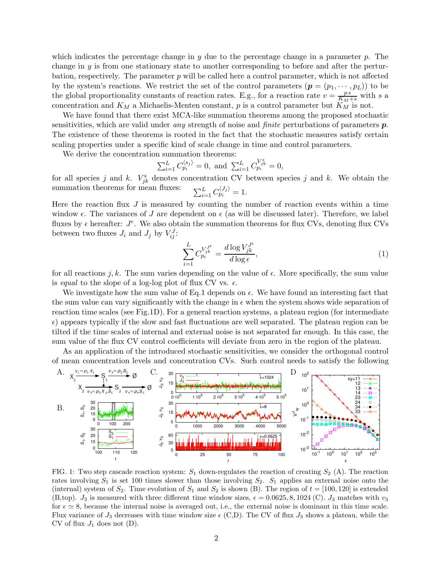which indicates the percentage change in  $y$  due to the percentage change in a parameter p. The change in  $\gamma$  is from one stationary state to another corresponding to before and after the perturbation, respectively. The parameter  $p$  will be called here a control parameter, which is not affected by the system's reactions. We restrict the set of the control parameters  $(p = (p_1, \dots, p_L))$  to be the global proportionality constants of reaction rates. E.g., for a reaction rate  $v = \frac{ps}{K_M + s}$  with s a concentration and  $K_M$  a Michaelis-Menten constant, p is a control parameter but  $K_M$  is not.

We have found that there exist MCA-like summation theorems among the proposed stochastic sensitivities, which are valid under any strength of noise and *finite* perturbations of parameters  $p$ . The existence of these theorems is rooted in the fact that the stochastic measures satisfy certain scaling properties under a specific kind of scale change in time and control parameters.

We derive the concentration summation theorems:

$$
\sum_{i=1}^{L} C_{p_i}^{\langle s_j \rangle} = 0, \text{ and } \sum_{i=1}^{L} C_{p_i}^{V_{jk}^s} = 0,
$$

for all species j and k.  $V_{jk}^s$  denotes concentration CV between species j and k. We obtain the summation theorems for mean fluxes:  $_{i=1}^{L}C_{p_{i}}^{\langle J_{j}\rangle}=1.$ 

Here the reaction flux  $J$  is measured by counting the number of reaction events within a time window  $\epsilon$ . The variances of J are dependent on  $\epsilon$  (as will be discussed later). Therefore, we label fluxes by  $\epsilon$  hereafter:  $J^{\epsilon}$ . We also obtain the summation theorems for flux CVs, denoting flux CVs between two fluxes  $J_i$  and  $J_j$  by  $V_{ij}^J$ :

$$
\sum_{i=1}^{L} C_{p_i}^{V_{jk}^{J^{\epsilon}}} = \frac{d \log V_{jk}^{J^{\epsilon}}}{d \log \epsilon},\tag{1}
$$

for all reactions j, k. The sum varies depending on the value of  $\epsilon$ . More specifically, the sum value is equal to the slope of a log-log plot of flux CV vs.  $\epsilon$ .

We investigate how the sum value of Eq.1 depends on  $\epsilon$ . We have found an interesting fact that the sum value can vary significantly with the change in  $\epsilon$  when the system shows wide separation of reaction time scales (see Fig.1D). For a general reaction systems, a plateau region (for intermediate  $\epsilon$ ) appears typically if the slow and fast fluctuations are well separated. The plateau region can be tilted if the time scales of internal and external noise is not separated far enough. In this case, the sum value of the flux CV control coefficients will deviate from zero in the region of the plateau.

As an application of the introduced stochastic sensitivities, we consider the orthogonal control of mean concentration levels and concentration CVs. Such control needs to satisfy the following



FIG. 1: Two step cascade reaction system:  $S_1$  down-regulates the reaction of creating  $S_2$  (A). The reaction rates involving  $S_1$  is set 100 times slower than those involving  $S_2$ .  $S_1$  applies an external noise onto the (internal) system of  $S_2$ . Time evolution of  $S_1$  and  $S_2$  is shown (B). The region of  $t = [100, 120]$  is extended (B,top).  $J_3$  is measured with three different time window sizes,  $\epsilon = 0.0625, 8, 1024$  (C).  $J_3$  matches with  $v_3$ for  $\epsilon \approx 8$ , because the internal noise is averaged out, i.e., the external noise is dominant in this time scale. Flux variance of  $J_3$  decreases with time window size  $\epsilon$  (C,D). The CV of flux  $J_3$  shows a plateau, while the CV of flux  $J_1$  does not (D).